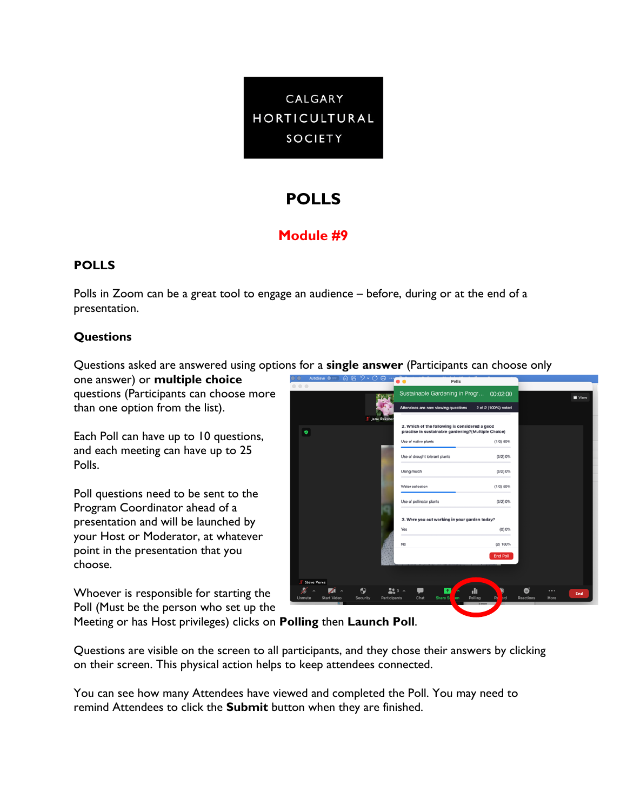

# **POLLS**

## **Module #9**

### **POLLS**

Polls in Zoom can be a great tool to engage an audience – before, during or at the end of a presentation.

### **Questions**

Questions asked are answered using options for a **single answer** (Participants can choose only

one answer) or **multiple choice** questions (Participants can choose more than one option from the list).

Each Poll can have up to 10 questions, and each meeting can have up to 25 Polls.

Poll questions need to be sent to the Program Coordinator ahead of a presentation and will be launched by your Host or Moderator, at whatever point in the presentation that you choose.

Whoever is responsible for starting the Poll (Must be the person who set up the



Meeting or has Host privileges) clicks on **Polling** then **Launch Poll**.

Questions are visible on the screen to all participants, and they chose their answers by clicking on their screen. This physical action helps to keep attendees connected.

You can see how many Attendees have viewed and completed the Poll. You may need to remind Attendees to click the **Submit** button when they are finished.